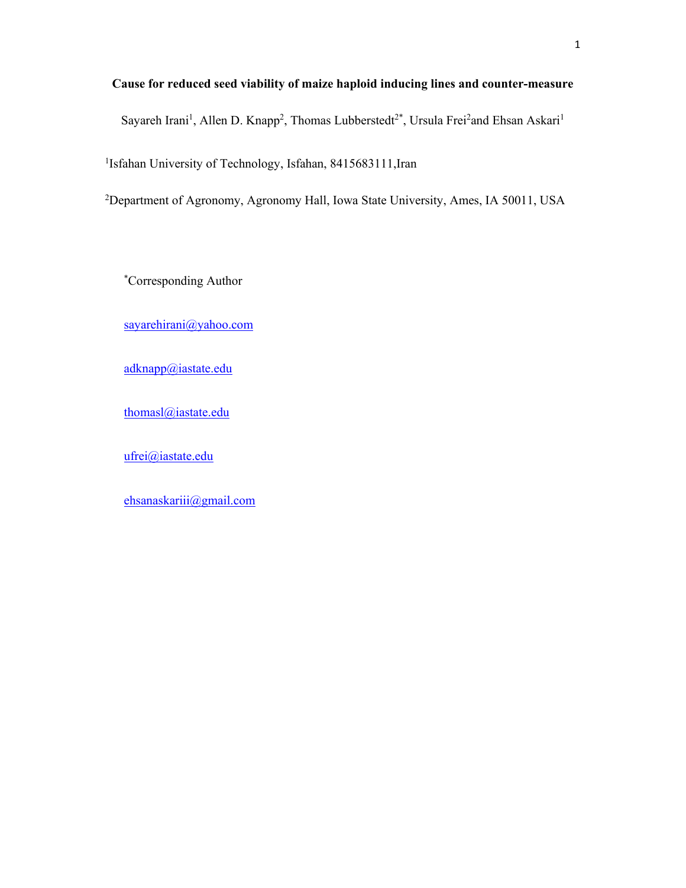# **Cause for reduced seed viability of maize haploid inducing lines and counter-measure**

Sayareh Irani<sup>1</sup>, Allen D. Knapp<sup>2</sup>, Thomas Lubberstedt<sup>2\*</sup>, Ursula Frei<sup>2</sup>and Ehsan Askari<sup>1</sup>

<sup>1</sup>Isfahan University of Technology, Isfahan, 8415683111, Iran

2Department of Agronomy, Agronomy Hall, Iowa State University, Ames, IA 50011, USA

\*Corresponding Author

sayarehirani@yahoo.com

adknapp@iastate.edu

thomasl@iastate.edu

ufrei@iastate.edu

ehsanaskariii@gmail.com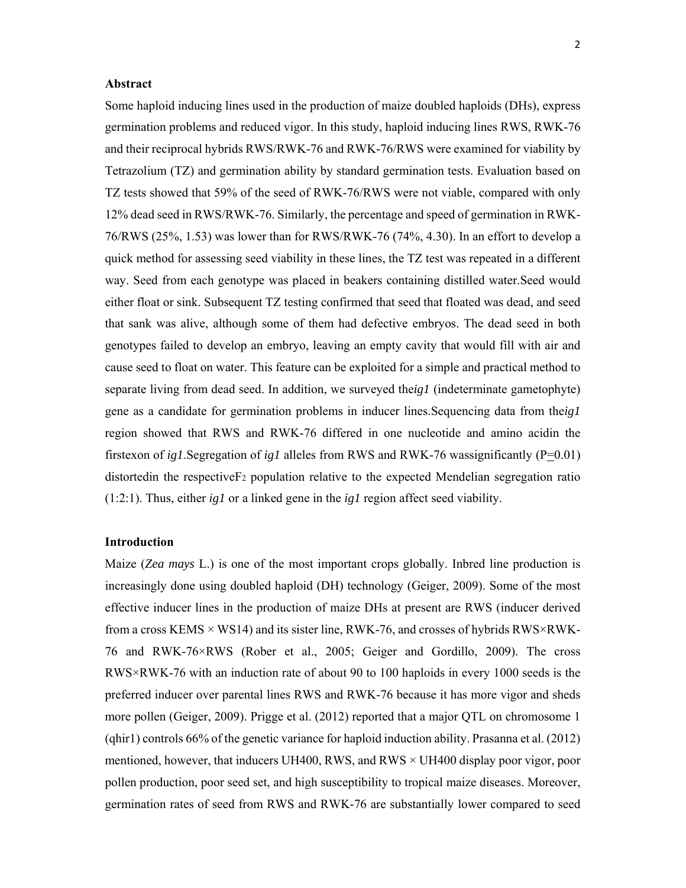# **Abstract**

Some haploid inducing lines used in the production of maize doubled haploids (DHs), express germination problems and reduced vigor. In this study, haploid inducing lines RWS, RWK-76 and their reciprocal hybrids RWS/RWK-76 and RWK-76/RWS were examined for viability by Tetrazolium (TZ) and germination ability by standard germination tests. Evaluation based on TZ tests showed that 59% of the seed of RWK-76/RWS were not viable, compared with only 12% dead seed in RWS/RWK-76. Similarly, the percentage and speed of germination in RWK-76/RWS (25%, 1.53) was lower than for RWS/RWK-76 (74%, 4.30). In an effort to develop a quick method for assessing seed viability in these lines, the TZ test was repeated in a different way. Seed from each genotype was placed in beakers containing distilled water.Seed would either float or sink. Subsequent TZ testing confirmed that seed that floated was dead, and seed that sank was alive, although some of them had defective embryos. The dead seed in both genotypes failed to develop an embryo, leaving an empty cavity that would fill with air and cause seed to float on water. This feature can be exploited for a simple and practical method to separate living from dead seed. In addition, we surveyed the*ig1* (indeterminate gametophyte) gene as a candidate for germination problems in inducer lines.Sequencing data from the*ig1* region showed that RWS and RWK-76 differed in one nucleotide and amino acidin the firstexon of *ig1*. Segregation of *ig1* alleles from RWS and RWK-76 wassignificantly ( $P=0.01$ ) distortedin the respective $F_2$  population relative to the expected Mendelian segregation ratio (1:2:1). Thus, either *ig1* or a linked gene in the *ig1* region affect seed viability.

# **Introduction**

Maize (*Zea mays* L.) is one of the most important crops globally. Inbred line production is increasingly done using doubled haploid (DH) technology (Geiger, 2009). Some of the most effective inducer lines in the production of maize DHs at present are RWS (inducer derived from a cross KEMS  $\times$  WS14) and its sister line, RWK-76, and crosses of hybrids RWS $\times$ RWK-76 and RWK-76×RWS (Rober et al., 2005; Geiger and Gordillo, 2009). The cross RWS×RWK-76 with an induction rate of about 90 to 100 haploids in every 1000 seeds is the preferred inducer over parental lines RWS and RWK-76 because it has more vigor and sheds more pollen (Geiger, 2009). Prigge et al. (2012) reported that a major QTL on chromosome 1 (qhir1) controls 66% of the genetic variance for haploid induction ability. Prasanna et al. (2012) mentioned, however, that inducers UH400, RWS, and RWS  $\times$  UH400 display poor vigor, poor pollen production, poor seed set, and high susceptibility to tropical maize diseases. Moreover, germination rates of seed from RWS and RWK-76 are substantially lower compared to seed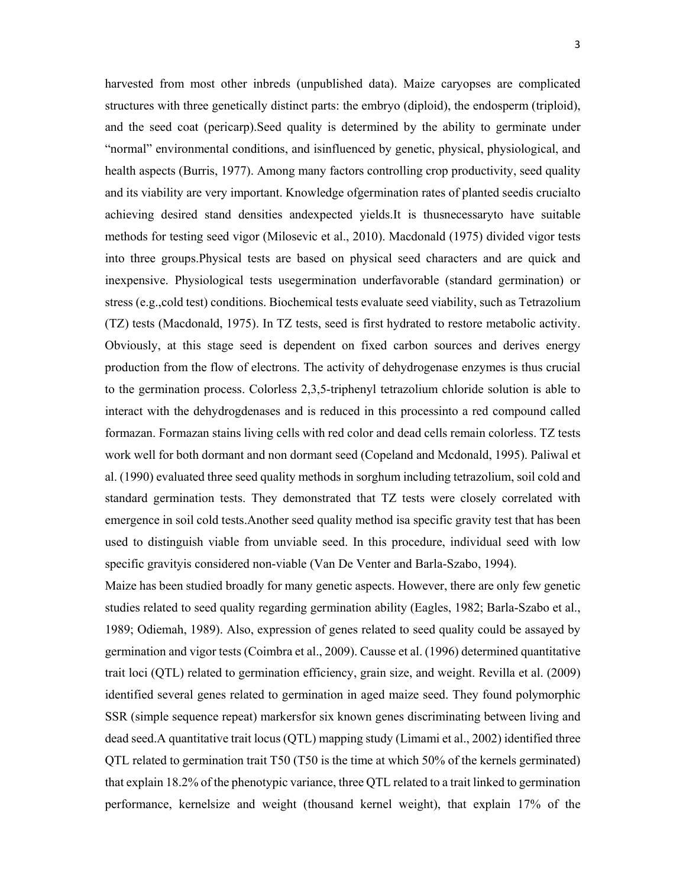harvested from most other inbreds (unpublished data). Maize caryopses are complicated structures with three genetically distinct parts: the embryo (diploid), the endosperm (triploid), and the seed coat (pericarp).Seed quality is determined by the ability to germinate under "normal" environmental conditions, and isinfluenced by genetic, physical, physiological, and health aspects (Burris, 1977). Among many factors controlling crop productivity, seed quality and its viability are very important. Knowledge ofgermination rates of planted seedis crucialto achieving desired stand densities andexpected yields.It is thusnecessaryto have suitable methods for testing seed vigor (Milosevic et al., 2010). Macdonald (1975) divided vigor tests into three groups.Physical tests are based on physical seed characters and are quick and inexpensive. Physiological tests usegermination underfavorable (standard germination) or stress (e.g.,cold test) conditions. Biochemical tests evaluate seed viability, such as Tetrazolium (TZ) tests (Macdonald, 1975). In TZ tests, seed is first hydrated to restore metabolic activity. Obviously, at this stage seed is dependent on fixed carbon sources and derives energy production from the flow of electrons. The activity of dehydrogenase enzymes is thus crucial to the germination process. Colorless 2,3,5-triphenyl tetrazolium chloride solution is able to interact with the dehydrogdenases and is reduced in this processinto a red compound called formazan. Formazan stains living cells with red color and dead cells remain colorless. TZ tests work well for both dormant and non dormant seed (Copeland and Mcdonald, 1995). Paliwal et al. (1990) evaluated three seed quality methods in sorghum including tetrazolium, soil cold and standard germination tests. They demonstrated that TZ tests were closely correlated with emergence in soil cold tests.Another seed quality method isa specific gravity test that has been used to distinguish viable from unviable seed. In this procedure, individual seed with low specific gravityis considered non-viable (Van De Venter and Barla-Szabo, 1994).

Maize has been studied broadly for many genetic aspects. However, there are only few genetic studies related to seed quality regarding germination ability (Eagles, 1982; Barla-Szabo et al., 1989; Odiemah, 1989). Also, expression of genes related to seed quality could be assayed by germination and vigor tests (Coimbra et al., 2009). Causse et al. (1996) determined quantitative trait loci (QTL) related to germination efficiency, grain size, and weight. Revilla et al. (2009) identified several genes related to germination in aged maize seed. They found polymorphic SSR (simple sequence repeat) markersfor six known genes discriminating between living and dead seed.A quantitative trait locus (QTL) mapping study (Limami et al., 2002) identified three QTL related to germination trait T50 (T50 is the time at which 50% of the kernels germinated) that explain 18.2% of the phenotypic variance, three QTL related to a trait linked to germination performance, kernelsize and weight (thousand kernel weight), that explain 17% of the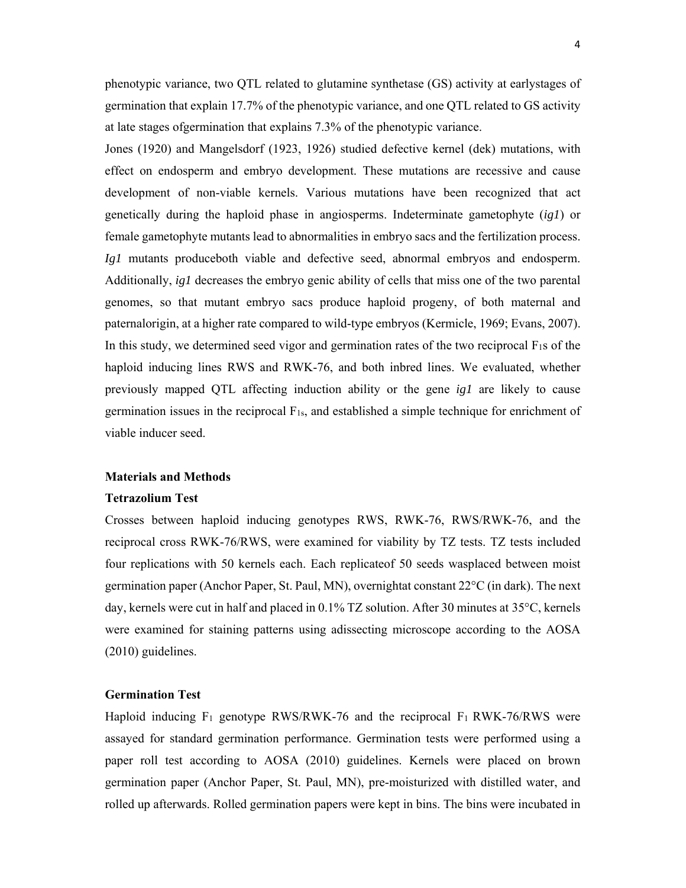phenotypic variance, two QTL related to glutamine synthetase (GS) activity at earlystages of germination that explain 17.7% of the phenotypic variance, and one QTL related to GS activity at late stages ofgermination that explains 7.3% of the phenotypic variance.

Jones (1920) and Mangelsdorf (1923, 1926) studied defective kernel (dek) mutations, with effect on endosperm and embryo development. These mutations are recessive and cause development of non-viable kernels. Various mutations have been recognized that act genetically during the haploid phase in angiosperms. Indeterminate gametophyte (*ig1*) or female gametophyte mutants lead to abnormalities in embryo sacs and the fertilization process. *Ig1* mutants produceboth viable and defective seed, abnormal embryos and endosperm. Additionally, *ig1* decreases the embryo genic ability of cells that miss one of the two parental genomes, so that mutant embryo sacs produce haploid progeny, of both maternal and paternalorigin, at a higher rate compared to wild-type embryos (Kermicle, 1969; Evans, 2007). In this study, we determined seed vigor and germination rates of the two reciprocal F1s of the haploid inducing lines RWS and RWK-76, and both inbred lines. We evaluated, whether previously mapped QTL affecting induction ability or the gene *ig1* are likely to cause germination issues in the reciprocal  $F_{1s}$ , and established a simple technique for enrichment of viable inducer seed.

#### **Materials and Methods**

# **Tetrazolium Test**

Crosses between haploid inducing genotypes RWS, RWK-76, RWS/RWK-76, and the reciprocal cross RWK-76/RWS, were examined for viability by TZ tests. TZ tests included four replications with 50 kernels each. Each replicateof 50 seeds wasplaced between moist germination paper (Anchor Paper, St. Paul, MN), overnightat constant 22°C (in dark). The next day, kernels were cut in half and placed in 0.1% TZ solution. After 30 minutes at 35°C, kernels were examined for staining patterns using adissecting microscope according to the AOSA (2010) guidelines.

#### **Germination Test**

Haploid inducing  $F_1$  genotype RWS/RWK-76 and the reciprocal  $F_1$  RWK-76/RWS were assayed for standard germination performance. Germination tests were performed using a paper roll test according to AOSA (2010) guidelines. Kernels were placed on brown germination paper (Anchor Paper, St. Paul, MN), pre-moisturized with distilled water, and rolled up afterwards. Rolled germination papers were kept in bins. The bins were incubated in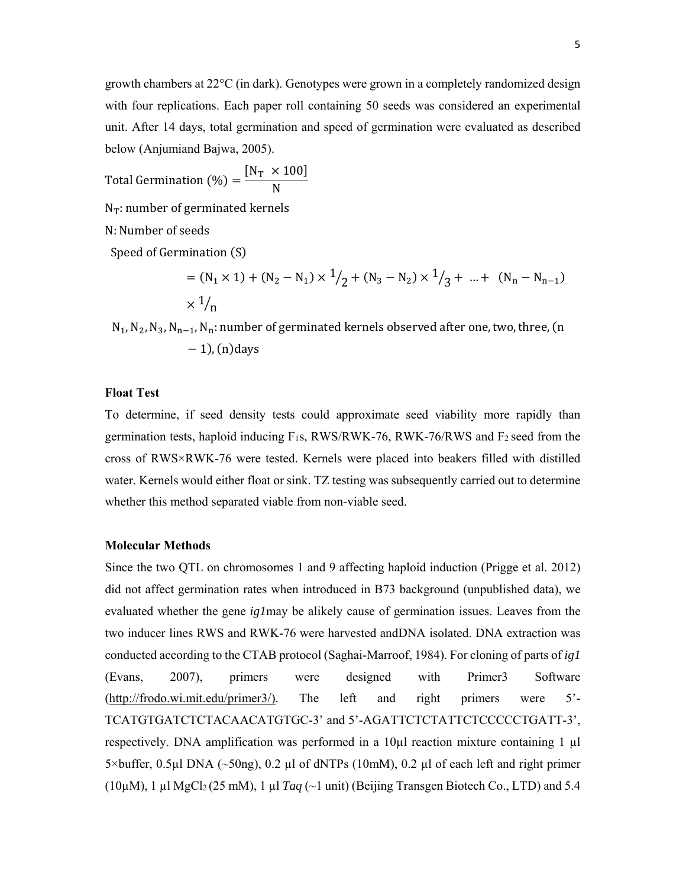growth chambers at 22°C (in dark). Genotypes were grown in a completely randomized design with four replications. Each paper roll containing 50 seeds was considered an experimental unit. After 14 days, total germination and speed of germination were evaluated as described below (Anjumiand Bajwa, 2005).

Total Germanation (%) = 
$$
\frac{[N_T \times 100]}{N}
$$

 $N_T$ : number of germinated kernels

N: Number of seeds

Speed of Germination (S)

= 
$$
(N_1 \times 1) + (N_2 - N_1) \times 1/2 + (N_3 - N_2) \times 1/3 + ... + (N_n - N_{n-1})
$$
  
  $\times 1/n$ 

 $N_1, N_2, N_3, N_{n-1}, N_n$ : number of germinated kernels observed after one, two, three, (n  $-1$ ,  $(n)$ days

# **Float Test**

To determine, if seed density tests could approximate seed viability more rapidly than germination tests, haploid inducing  $F_{1S}$ , RWS/RWK-76, RWK-76/RWS and  $F_2$  seed from the cross of RWS×RWK-76 were tested. Kernels were placed into beakers filled with distilled water. Kernels would either float or sink. TZ testing was subsequently carried out to determine whether this method separated viable from non-viable seed.

# **Molecular Methods**

Since the two QTL on chromosomes 1 and 9 affecting haploid induction (Prigge et al. 2012) did not affect germination rates when introduced in B73 background (unpublished data), we evaluated whether the gene *ig1*may be alikely cause of germination issues. Leaves from the two inducer lines RWS and RWK-76 were harvested andDNA isolated. DNA extraction was conducted according to the CTAB protocol (Saghai-Marroof, 1984). For cloning of parts of *ig1*  (Evans, 2007), primers were designed with Primer3 Software (http://frodo.wi.mit.edu/primer3/). The left and right primers were 5'- TCATGTGATCTCTACAACATGTGC-3' and 5'-AGATTCTCTATTCTCCCCCTGATT-3', respectively. DNA amplification was performed in a 10 $\mu$ l reaction mixture containing 1  $\mu$ l 5×buffer, 0.5µl DNA (~50ng), 0.2 µl of dNTPs (10mM), 0.2 µl of each left and right primer  $(10\mu M)$ , 1  $\mu$ l MgCl<sub>2</sub> (25 mM), 1  $\mu$ l *Taq* ( $\sim$ 1 unit) (Beijing Transgen Biotech Co., LTD) and 5.4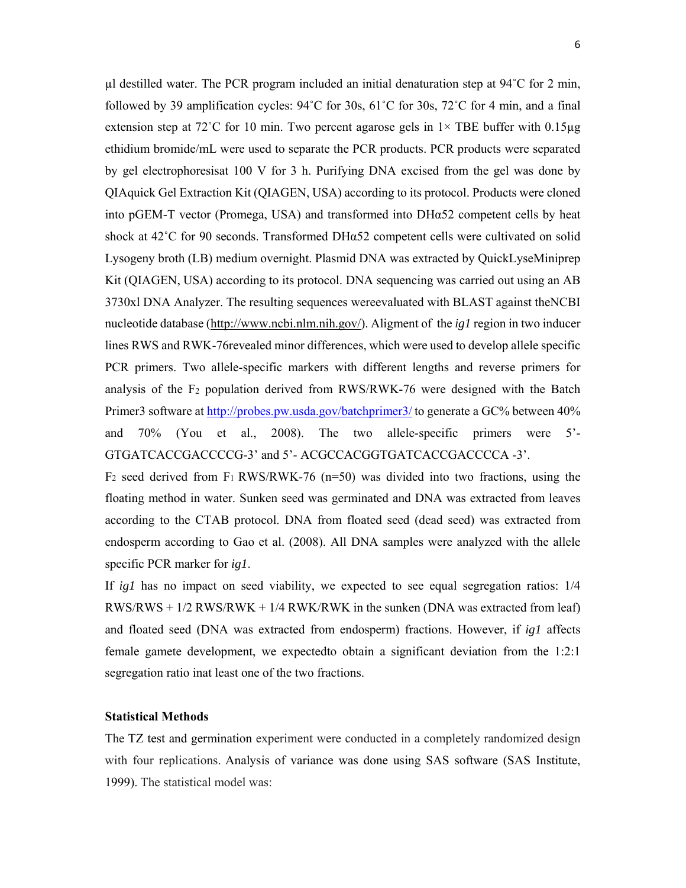$\mu$ l destilled water. The PCR program included an initial denaturation step at 94°C for 2 min, followed by 39 amplification cycles: 94˚C for 30s, 61˚C for 30s, 72˚C for 4 min, and a final extension step at  $72^{\circ}$ C for 10 min. Two percent agarose gels in  $1 \times$  TBE buffer with 0.15µg ethidium bromide/mL were used to separate the PCR products. PCR products were separated by gel electrophoresisat 100 V for 3 h. Purifying DNA excised from the gel was done by QIAquick Gel Extraction Kit (QIAGEN, USA) according to its protocol. Products were cloned into pGEM-T vector (Promega, USA) and transformed into DHα52 competent cells by heat shock at  $42^{\circ}$ C for 90 seconds. Transformed DH $\alpha$ 52 competent cells were cultivated on solid Lysogeny broth (LB) medium overnight. Plasmid DNA was extracted by QuickLyseMiniprep Kit (QIAGEN, USA) according to its protocol. DNA sequencing was carried out using an AB 3730xl DNA Analyzer. The resulting sequences wereevaluated with BLAST against theNCBI nucleotide database (http://www.ncbi.nlm.nih.gov/). Aligment of the *ig1* region in two inducer lines RWS and RWK-76revealed minor differences, which were used to develop allele specific PCR primers. Two allele-specific markers with different lengths and reverse primers for analysis of the  $F_2$  population derived from RWS/RWK-76 were designed with the Batch Primer3 software at http://probes.pw.usda.gov/batchprimer3/ to generate a GC% between 40% and 70% (You et al., 2008). The two allele-specific primers were 5'- GTGATCACCGACCCCG-3' and 5'- ACGCCACGGTGATCACCGACCCCA -3'.

 $F_2$  seed derived from  $F_1$  RWS/RWK-76 (n=50) was divided into two fractions, using the floating method in water. Sunken seed was germinated and DNA was extracted from leaves according to the CTAB protocol. DNA from floated seed (dead seed) was extracted from endosperm according to Gao et al. (2008). All DNA samples were analyzed with the allele specific PCR marker for *ig1*.

If *ig1* has no impact on seed viability, we expected to see equal segregation ratios: 1/4  $RWS/RWS + 1/2 RWS/RWK + 1/4 RWK/RWK$  in the sunken (DNA was extracted from leaf) and floated seed (DNA was extracted from endosperm) fractions. However, if *ig1* affects female gamete development, we expectedto obtain a significant deviation from the 1:2:1 segregation ratio inat least one of the two fractions.

#### **Statistical Methods**

The TZ test and germination experiment were conducted in a completely randomized design with four replications. Analysis of variance was done using SAS software (SAS Institute, 1999). The statistical model was: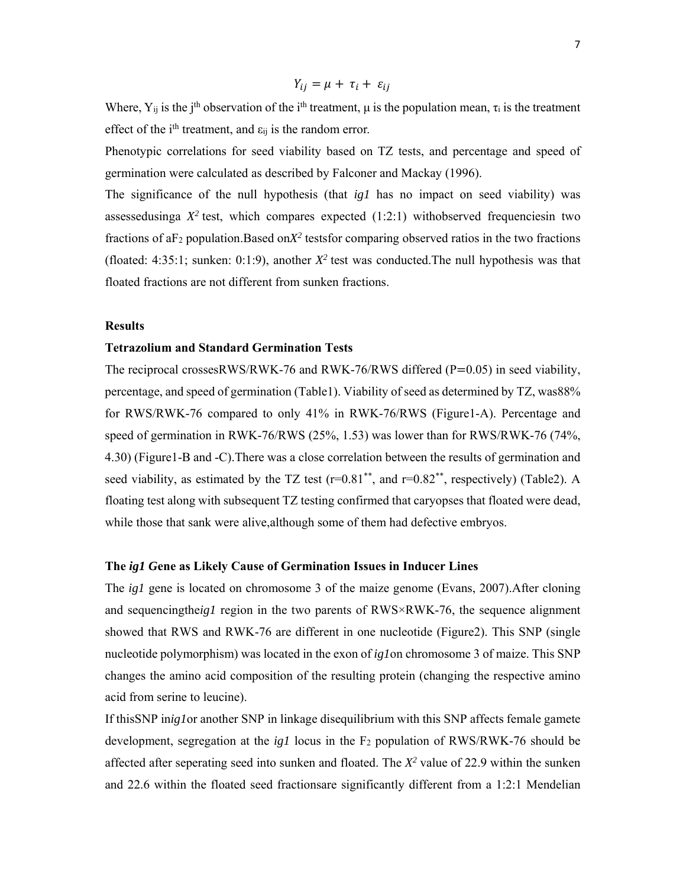$$
Y_{ij} = \mu + \tau_i + \varepsilon_{ij}
$$

Where,  $Y_{ij}$  is the j<sup>th</sup> observation of the i<sup>th</sup> treatment,  $\mu$  is the population mean,  $\tau_i$  is the treatment effect of the i<sup>th</sup> treatment, and  $\varepsilon_{ij}$  is the random error.

Phenotypic correlations for seed viability based on TZ tests, and percentage and speed of germination were calculated as described by Falconer and Mackay (1996).

The significance of the null hypothesis (that *ig1* has no impact on seed viability) was assessedusinga  $X^2$  test, which compares expected  $(1:2:1)$  withobserved frequencies in two fractions of  $aF_2$  population. Based on $X^2$  testsfor comparing observed ratios in the two fractions (floated: 4:35:1; sunken: 0:1:9), another  $X^2$  test was conducted. The null hypothesis was that floated fractions are not different from sunken fractions.

#### **Results**

### **Tetrazolium and Standard Germination Tests**

The reciprocal crossesRWS/RWK-76 and RWK-76/RWS differed ( $P=0.05$ ) in seed viability, percentage, and speed of germination (Table1). Viability of seed as determined by TZ, was88% for RWS/RWK-76 compared to only 41% in RWK-76/RWS (Figure1-A). Percentage and speed of germination in RWK-76/RWS (25%, 1.53) was lower than for RWS/RWK-76 (74%, 4.30) (Figure1-B and -C).There was a close correlation between the results of germination and seed viability, as estimated by the TZ test ( $r=0.81^{**}$ , and  $r=0.82^{**}$ , respectively) (Table2). A floating test along with subsequent TZ testing confirmed that caryopses that floated were dead, while those that sank were alive,although some of them had defective embryos.

### **The** *ig1 G***ene as Likely Cause of Germination Issues in Inducer Lines**

The *ig1* gene is located on chromosome 3 of the maize genome (Evans, 2007).After cloning and sequencingthe*ig1* region in the two parents of RWS×RWK-76, the sequence alignment showed that RWS and RWK-76 are different in one nucleotide (Figure2). This SNP (single nucleotide polymorphism) was located in the exon of *ig1*on chromosome 3 of maize. This SNP changes the amino acid composition of the resulting protein (changing the respective amino acid from serine to leucine).

If thisSNP in*ig1*or another SNP in linkage disequilibrium with this SNP affects female gamete development, segregation at the  $i\ell l$  locus in the  $F_2$  population of RWS/RWK-76 should be affected after seperating seed into sunken and floated. The  $X^2$  value of 22.9 within the sunken and 22.6 within the floated seed fractionsare significantly different from a 1:2:1 Mendelian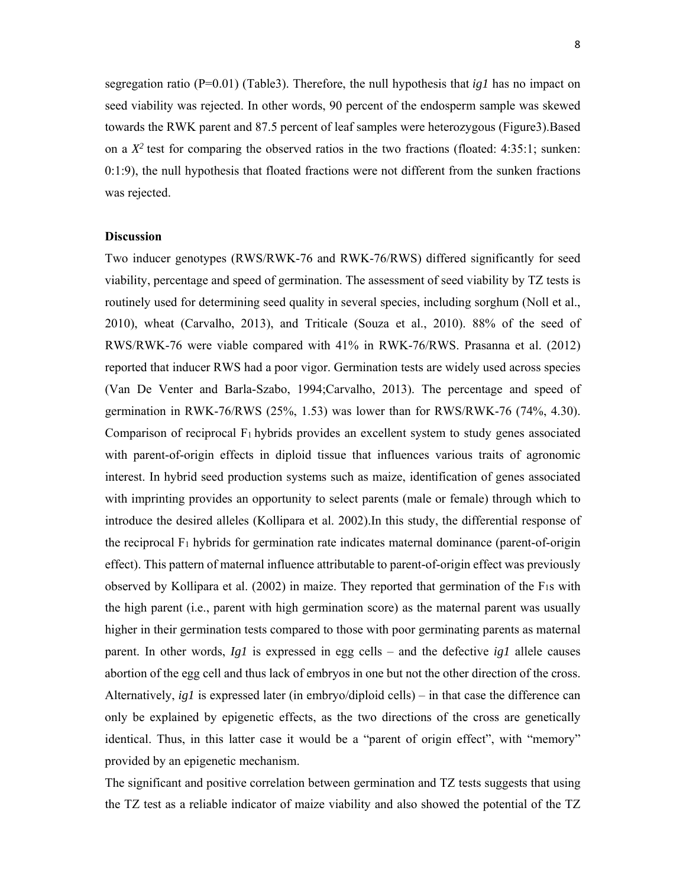segregation ratio ( $P=0.01$ ) (Table3). Therefore, the null hypothesis that *ig1* has no impact on seed viability was rejected. In other words, 90 percent of the endosperm sample was skewed towards the RWK parent and 87.5 percent of leaf samples were heterozygous (Figure3).Based on a  $X^2$  test for comparing the observed ratios in the two fractions (floated: 4:35:1; sunken: 0:1:9), the null hypothesis that floated fractions were not different from the sunken fractions was rejected.

#### **Discussion**

Two inducer genotypes (RWS/RWK-76 and RWK-76/RWS) differed significantly for seed viability, percentage and speed of germination. The assessment of seed viability by TZ tests is routinely used for determining seed quality in several species, including sorghum (Noll et al., 2010), wheat (Carvalho, 2013), and Triticale (Souza et al., 2010). 88% of the seed of RWS/RWK-76 were viable compared with 41% in RWK-76/RWS. Prasanna et al. (2012) reported that inducer RWS had a poor vigor. Germination tests are widely used across species (Van De Venter and Barla-Szabo, 1994;Carvalho, 2013). The percentage and speed of germination in RWK-76/RWS (25%, 1.53) was lower than for RWS/RWK-76 (74%, 4.30). Comparison of reciprocal F1 hybrids provides an excellent system to study genes associated with parent-of-origin effects in diploid tissue that influences various traits of agronomic interest. In hybrid seed production systems such as maize, identification of genes associated with imprinting provides an opportunity to select parents (male or female) through which to introduce the desired alleles (Kollipara et al. 2002).In this study, the differential response of the reciprocal F1 hybrids for germination rate indicates maternal dominance (parent-of-origin effect). This pattern of maternal influence attributable to parent-of-origin effect was previously observed by Kollipara et al. (2002) in maize. They reported that germination of the F1s with the high parent (i.e., parent with high germination score) as the maternal parent was usually higher in their germination tests compared to those with poor germinating parents as maternal parent. In other words, *Ig1* is expressed in egg cells – and the defective *ig1* allele causes abortion of the egg cell and thus lack of embryos in one but not the other direction of the cross. Alternatively, *ig1* is expressed later (in embryo/diploid cells) – in that case the difference can only be explained by epigenetic effects, as the two directions of the cross are genetically identical. Thus, in this latter case it would be a "parent of origin effect", with "memory" provided by an epigenetic mechanism.

The significant and positive correlation between germination and TZ tests suggests that using the TZ test as a reliable indicator of maize viability and also showed the potential of the TZ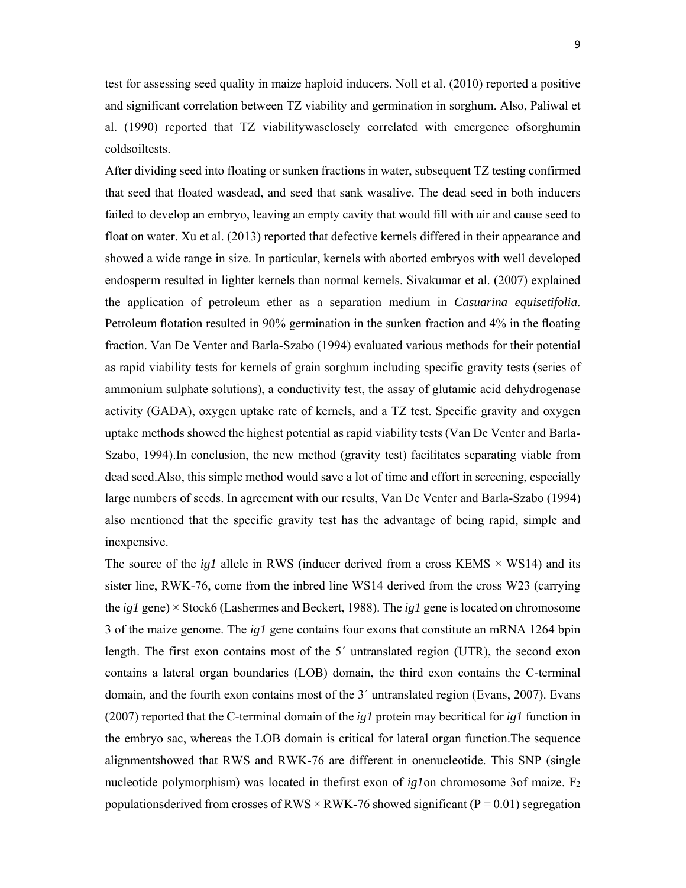9

test for assessing seed quality in maize haploid inducers. Noll et al. (2010) reported a positive and significant correlation between TZ viability and germination in sorghum. Also, Paliwal et al. (1990) reported that TZ viabilitywasclosely correlated with emergence ofsorghumin coldsoiltests.

After dividing seed into floating or sunken fractions in water, subsequent TZ testing confirmed that seed that floated wasdead, and seed that sank wasalive. The dead seed in both inducers failed to develop an embryo, leaving an empty cavity that would fill with air and cause seed to float on water. Xu et al. (2013) reported that defective kernels differed in their appearance and showed a wide range in size. In particular, kernels with aborted embryos with well developed endosperm resulted in lighter kernels than normal kernels. Sivakumar et al. (2007) explained the application of petroleum ether as a separation medium in *Casuarina equisetifolia*. Petroleum flotation resulted in 90% germination in the sunken fraction and 4% in the floating fraction. Van De Venter and Barla-Szabo (1994) evaluated various methods for their potential as rapid viability tests for kernels of grain sorghum including specific gravity tests (series of ammonium sulphate solutions), a conductivity test, the assay of glutamic acid dehydrogenase activity (GADA), oxygen uptake rate of kernels, and a TZ test. Specific gravity and oxygen uptake methods showed the highest potential as rapid viability tests (Van De Venter and Barla-Szabo, 1994).In conclusion, the new method (gravity test) facilitates separating viable from dead seed.Also, this simple method would save a lot of time and effort in screening, especially large numbers of seeds. In agreement with our results, Van De Venter and Barla-Szabo (1994) also mentioned that the specific gravity test has the advantage of being rapid, simple and inexpensive.

The source of the *ig1* allele in RWS (inducer derived from a cross KEMS  $\times$  WS14) and its sister line, RWK-76, come from the inbred line WS14 derived from the cross W23 (carrying the *ig1* gene) × Stock6 (Lashermes and Beckert, 1988). The *ig1* gene is located on chromosome 3 of the maize genome. The *ig1* gene contains four exons that constitute an mRNA 1264 bpin length. The first exon contains most of the 5΄ untranslated region (UTR), the second exon contains a lateral organ boundaries (LOB) domain, the third exon contains the C-terminal domain, and the fourth exon contains most of the 3΄ untranslated region (Evans, 2007). Evans (2007) reported that the C-terminal domain of the *ig1* protein may becritical for *ig1* function in the embryo sac, whereas the LOB domain is critical for lateral organ function.The sequence alignmentshowed that RWS and RWK-76 are different in onenucleotide. This SNP (single nucleotide polymorphism) was located in thefirst exon of *ig1*on chromosome 3of maize. F<sub>2</sub> populations derived from crosses of RWS  $\times$  RWK-76 showed significant (P = 0.01) segregation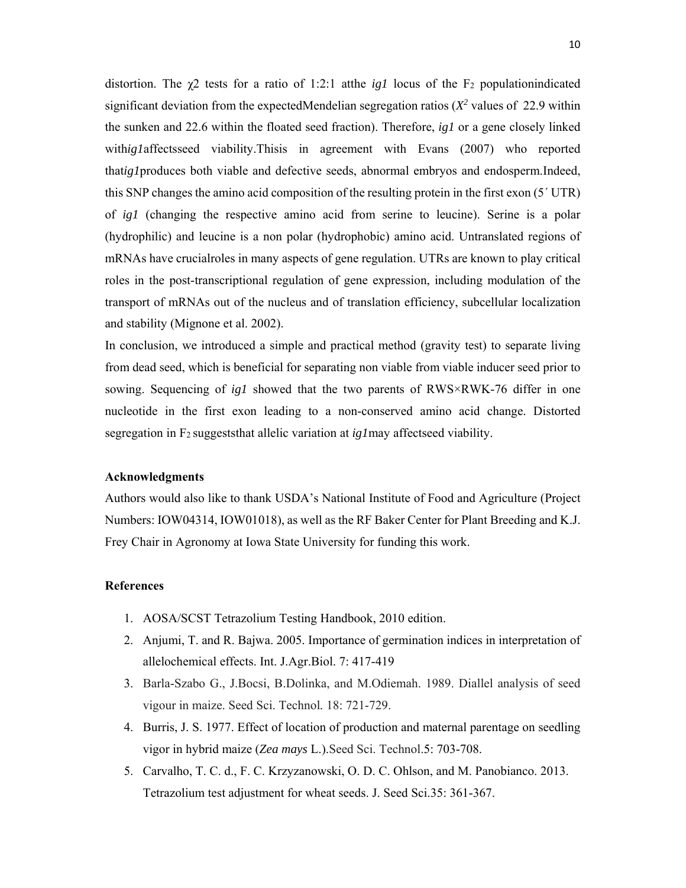distortion. The  $\chi$ 2 tests for a ratio of 1:2:1 atthe *ig1* locus of the F<sub>2</sub> populationindicated significant deviation from the expectedMendelian segregation ratios  $(X^2$  values of 22.9 within the sunken and 22.6 within the floated seed fraction). Therefore, *ig1* or a gene closely linked with*ig1*affectsseed viability.Thisis in agreement with Evans (2007) who reported that*ig1*produces both viable and defective seeds, abnormal embryos and endosperm.Indeed, this SNP changes the amino acid composition of the resulting protein in the first exon (5΄ UTR) of *ig1* (changing the respective amino acid from serine to leucine). Serine is a polar (hydrophilic) and leucine is a non polar (hydrophobic) amino acid. Untranslated regions of mRNAs have crucialroles in many aspects of gene regulation. UTRs are known to play critical roles in the post-transcriptional regulation of gene expression, including modulation of the transport of mRNAs out of the nucleus and of translation efficiency, subcellular localization and stability (Mignone et al. 2002).

In conclusion, we introduced a simple and practical method (gravity test) to separate living from dead seed, which is beneficial for separating non viable from viable inducer seed prior to sowing. Sequencing of *ig1* showed that the two parents of RWS×RWK-76 differ in one nucleotide in the first exon leading to a non-conserved amino acid change. Distorted segregation in F2 suggeststhat allelic variation at *ig1*may affectseed viability.

# **Acknowledgments**

Authors would also like to thank USDA's National Institute of Food and Agriculture (Project Numbers: IOW04314, IOW01018), as well as the RF Baker Center for Plant Breeding and K.J. Frey Chair in Agronomy at Iowa State University for funding this work.

#### **References**

- 1. AOSA/SCST Tetrazolium Testing Handbook, 2010 edition.
- 2. Anjumi, T. and R. Bajwa. 2005. Importance of germination indices in interpretation of allelochemical effects. Int. J.Agr.Biol. 7: 417-419
- 3. Barla-Szabo G., J.Bocsi, B.Dolinka, and M.Odiemah. 1989. Diallel analysis of seed vigour in maize. Seed Sci. Technol*.* 18: 721-729.
- 4. Burris, J. S. 1977. Effect of location of production and maternal parentage on seedling vigor in hybrid maize (*Zea mays* L.).Seed Sci. Technol.5: 703-708.
- 5. Carvalho, T. C. d., F. C. Krzyzanowski, O. D. C. Ohlson, and M. Panobianco. 2013. Tetrazolium test adjustment for wheat seeds. J. Seed Sci.35: 361-367.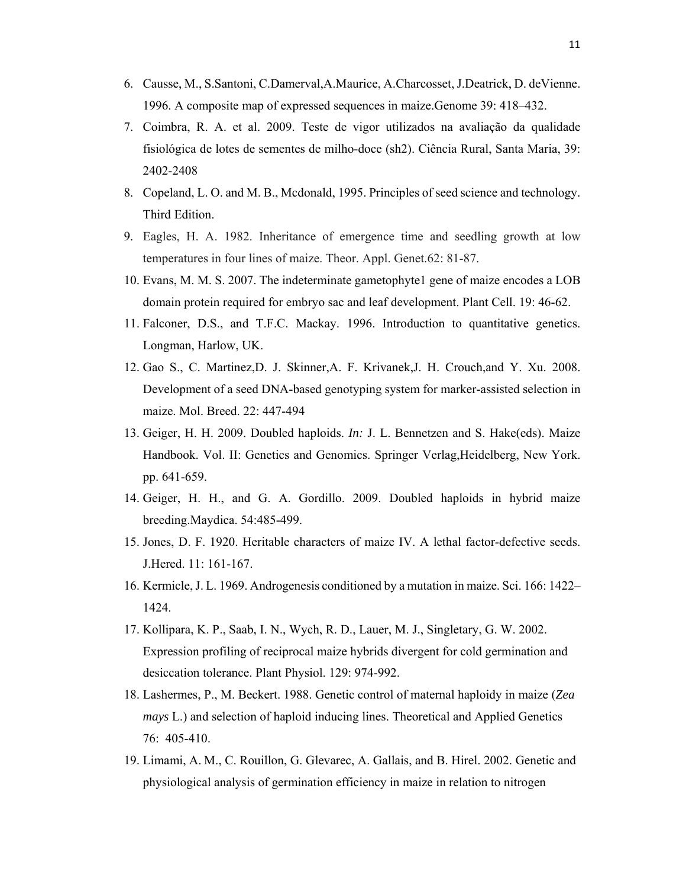- 6. Causse, M., S.Santoni, C.Damerval,A.Maurice, A.Charcosset, J.Deatrick, D. deVienne. 1996. A composite map of expressed sequences in maize.Genome 39: 418–432.
- 7. Coimbra, R. A. et al. 2009. Teste de vigor utilizados na avaliação da qualidade fisiológica de lotes de sementes de milho-doce (sh2). Ciência Rural, Santa Maria, 39: 2402-2408
- 8. Copeland, L. O. and M. B., Mcdonald, 1995. Principles of seed science and technology. Third Edition.
- 9. Eagles, H. A. 1982. Inheritance of emergence time and seedling growth at low temperatures in four lines of maize. Theor. Appl. Genet.62: 81-87.
- 10. Evans, M. M. S. 2007. The indeterminate gametophyte1 gene of maize encodes a LOB domain protein required for embryo sac and leaf development. Plant Cell. 19: 46-62.
- 11. Falconer, D.S., and T.F.C. Mackay. 1996. Introduction to quantitative genetics. Longman, Harlow, UK.
- 12. Gao S., C. Martinez,D. J. Skinner,A. F. Krivanek,J. H. Crouch,and Y. Xu. 2008. Development of a seed DNA-based genotyping system for marker-assisted selection in maize. Mol. Breed. 22: 447-494
- 13. Geiger, H. H. 2009. Doubled haploids. *In:* J. L. Bennetzen and S. Hake(eds). Maize Handbook. Vol. II: Genetics and Genomics. Springer Verlag,Heidelberg, New York. pp. 641-659.
- 14. Geiger, H. H., and G. A. Gordillo. 2009. Doubled haploids in hybrid maize breeding.Maydica. 54:485-499.
- 15. Jones, D. F. 1920. Heritable characters of maize IV. A lethal factor-defective seeds. J.Hered. 11: 161-167.
- 16. Kermicle, J. L. 1969. Androgenesis conditioned by a mutation in maize. Sci. 166: 1422– 1424.
- 17. Kollipara, K. P., Saab, I. N., Wych, R. D., Lauer, M. J., Singletary, G. W. 2002. Expression profiling of reciprocal maize hybrids divergent for cold germination and desiccation tolerance. Plant Physiol. 129: 974-992.
- 18. Lashermes, P., M. Beckert. 1988. Genetic control of maternal haploidy in maize (*Zea mays* L.) and selection of haploid inducing lines. Theoretical and Applied Genetics 76: 405-410.
- 19. Limami, A. M., C. Rouillon, G. Glevarec, A. Gallais, and B. Hirel. 2002. Genetic and physiological analysis of germination efficiency in maize in relation to nitrogen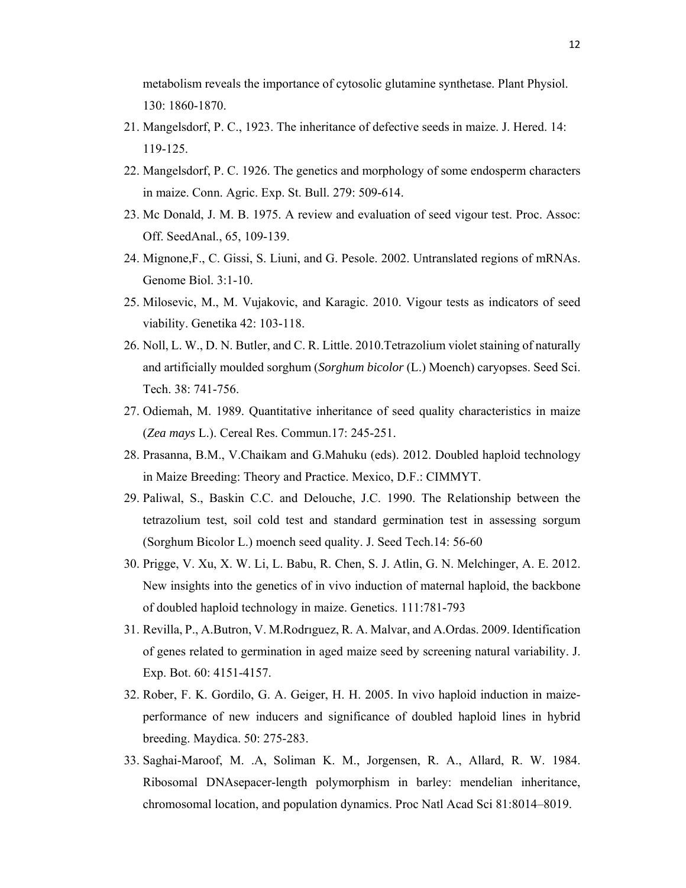metabolism reveals the importance of cytosolic glutamine synthetase. Plant Physiol. 130: 1860-1870.

- 21. Mangelsdorf, P. C., 1923. The inheritance of defective seeds in maize. J. Hered. 14: 119-125.
- 22. Mangelsdorf, P. C. 1926. The genetics and morphology of some endosperm characters in maize. Conn. Agric. Exp. St. Bull. 279: 509-614.
- 23. Mc Donald, J. M. B. 1975. A review and evaluation of seed vigour test. Proc. Assoc: Off. SeedAnal., 65, 109-139.
- 24. Mignone,F., C. Gissi, S. Liuni, and G. Pesole. 2002. Untranslated regions of mRNAs. Genome Biol. 3:1-10.
- 25. Milosevic, M., M. Vujakovic, and Karagic. 2010. Vigour tests as indicators of seed viability. Genetika 42: 103-118.
- 26. Noll, L. W., D. N. Butler, and C. R. Little. 2010.Tetrazolium violet staining of naturally and artificially moulded sorghum (*Sorghum bicolor* (L.) Moench) caryopses. Seed Sci. Tech. 38: 741-756.
- 27. Odiemah, M. 1989. Quantitative inheritance of seed quality characteristics in maize (*Zea mays* L.). Cereal Res. Commun.17: 245-251.
- 28. Prasanna, B.M., V.Chaikam and G.Mahuku (eds). 2012. Doubled haploid technology in Maize Breeding: Theory and Practice. Mexico, D.F.: CIMMYT.
- 29. Paliwal, S., Baskin C.C. and Delouche, J.C. 1990. The Relationship between the tetrazolium test, soil cold test and standard germination test in assessing sorgum (Sorghum Bicolor L.) moench seed quality. J. Seed Tech.14: 56-60
- 30. Prigge, V. Xu, X. W. Li, L. Babu, R. Chen, S. J. Atlin, G. N. Melchinger, A. E. 2012. New insights into the genetics of in vivo induction of maternal haploid, the backbone of doubled haploid technology in maize. Genetics. 111:781-793
- 31. Revilla, P., A.Butron, V. M.Rodrıguez, R. A. Malvar, and A.Ordas. 2009. Identification of genes related to germination in aged maize seed by screening natural variability. J. Exp. Bot. 60: 4151-4157.
- 32. Rober, F. K. Gordilo, G. A. Geiger, H. H. 2005. In vivo haploid induction in maizeperformance of new inducers and significance of doubled haploid lines in hybrid breeding. Maydica. 50: 275-283.
- 33. Saghai-Maroof, M. .A, Soliman K. M., Jorgensen, R. A., Allard, R. W. 1984. Ribosomal DNAsepacer-length polymorphism in barley: mendelian inheritance, chromosomal location, and population dynamics. Proc Natl Acad Sci 81:8014–8019.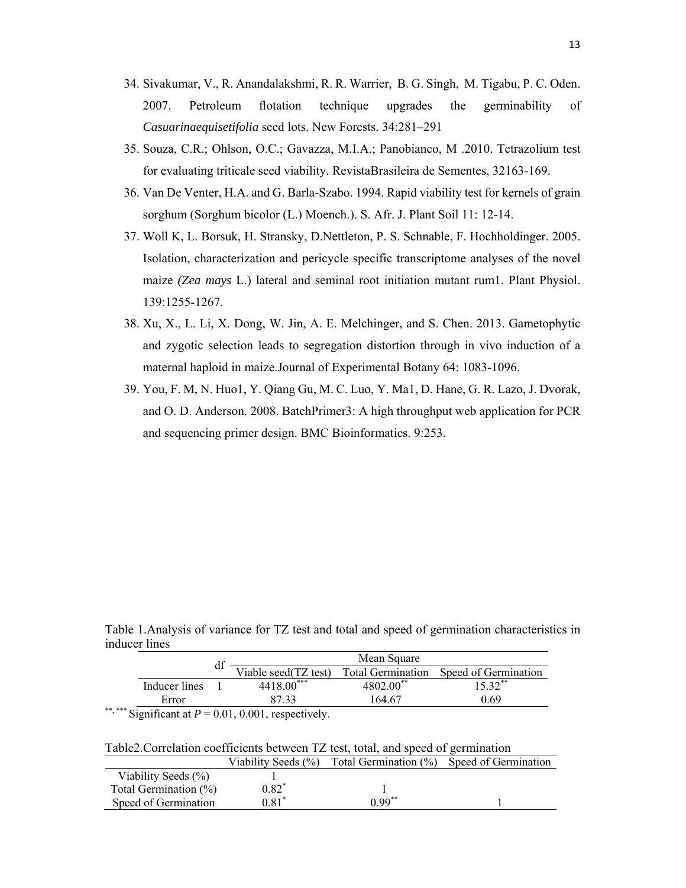- 34. Sivakumar, V., R. Anandalakshmi, R. R. Warrier, B. G. Singh, M. Tigabu, P. C. Oden. 2007. Petroleum flotation technique upgrades the germinability of *Casuarinaequisetifolia* seed lots. New Forests. 34:281–291
- 35. Souza, C.R.; Ohlson, O.C.; Gavazza, M.I.A.; Panobianco, M .2010. Tetrazolium test for evaluating triticale seed viability. RevistaBrasileira de Sementes, 32163-169.
- 36. Van De Venter, H.A. and G. Barla-Szabo. 1994. Rapid viability test for kernels of grain sorghum (Sorghum bicolor (L.) Moench.). S. Afr. J. Plant Soil 11: 12-14.
- 37. Woll K, L. Borsuk, H. Stransky, D.Nettleton, P. S. Schnable, F. Hochholdinger. 2005. Isolation, characterization and pericycle specific transcriptome analyses of the novel maize *(Zea mays* L.) lateral and seminal root initiation mutant rum1. Plant Physiol. 139:1255-1267.
- 38. Xu, X., L. Li, X. Dong, W. Jin, A. E. Melchinger, and S. Chen. 2013. Gametophytic and zygotic selection leads to segregation distortion through in vivo induction of a maternal haploid in maize.Journal of Experimental Botany 64: 1083-1096.
- 39. You, F. M, N. Huo1, Y. Qiang Gu, M. C. Luo, Y. Ma1, D. Hane, G. R. Lazo, J. Dvorak, and O. D. Anderson. 2008. BatchPrimer3: A high throughput web application for PCR and sequencing primer design. BMC Bioinformatics. 9:253.

Table 1.Analysis of variance for TZ test and total and speed of germination characteristics in inducer lines

|                     |               |    |                      | Mean Square    |                                        |
|---------------------|---------------|----|----------------------|----------------|----------------------------------------|
|                     |               | αI | Viable seed(TZ test) |                | Total Germination Speed of Germination |
|                     | Inducer lines |    | $4418.00***$         | $4802.00^{**}$ | $15.32***$                             |
|                     | Error         |    | 87.33                | 164 67         | በ 69                                   |
| الله مله مله الله م |               |    |                      |                |                                        |

\*\* Significant at  $P = 0.01, 0.001$ , respectively.

|  |  | Table 2. Correlation coefficients between TZ test, total, and speed of germination |  |
|--|--|------------------------------------------------------------------------------------|--|
|  |  |                                                                                    |  |

|                       |          | Viability Seeds (%) Total Germination (%) Speed of Germination |  |
|-----------------------|----------|----------------------------------------------------------------|--|
| Viability Seeds (%)   |          |                                                                |  |
| Total Germination (%) | $0.82^*$ |                                                                |  |
| Speed of Germination  | $0.81*$  | $0.99***$                                                      |  |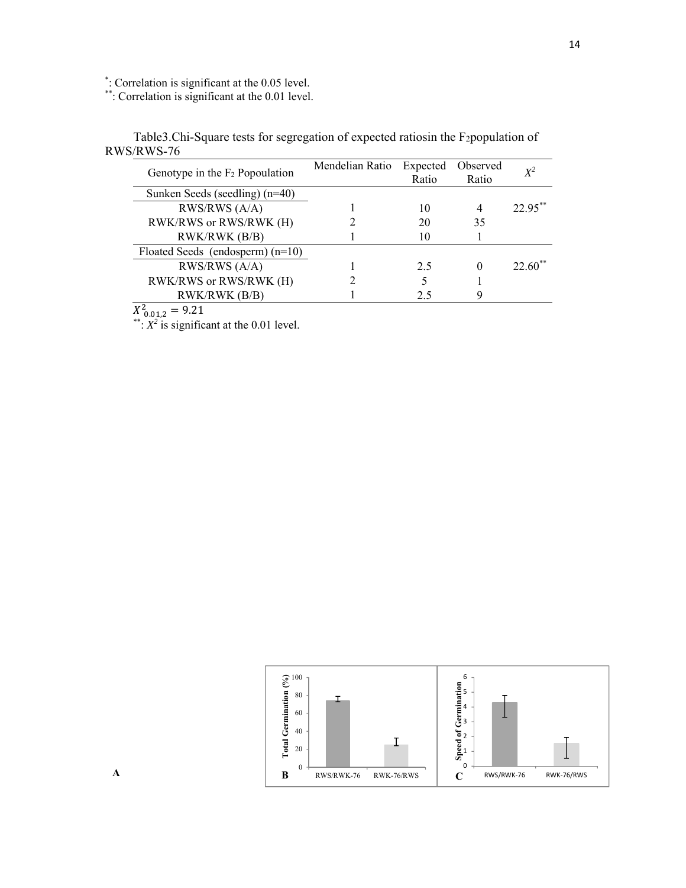\* : Correlation is significant at the 0.05 level. \*\*: Correlation is significant at the 0.01 level.

| Table3.Chi-Square tests for segregation of expected ratiosin the F2 population of |  |  |  |
|-----------------------------------------------------------------------------------|--|--|--|
| RWS/RWS-76                                                                        |  |  |  |

| Genotype in the $F_2$ Popoulation | Mendelian Ratio | Expected | Observed | $X^2$      |
|-----------------------------------|-----------------|----------|----------|------------|
|                                   |                 | Ratio    | Ratio    |            |
| Sunken Seeds (seedling) $(n=40)$  |                 |          |          |            |
| RWS/RWS (A/A)                     |                 | 10       | 4        | $22.95***$ |
| RWK/RWS or RWS/RWK (H)            |                 | 20       | 35       |            |
| RWK/RWK (B/B)                     |                 | 10       |          |            |
| Floated Seeds (endosperm) (n=10)  |                 |          |          |            |
| RWS/RWS (A/A)                     |                 | 2.5      |          | 22.60      |
| RWK/RWS or RWS/RWK (H)            |                 |          |          |            |
| RWK/RWK (B/B)                     |                 | 2.5      | 9        |            |
| $\mathbf{r}$<br>0.21              |                 |          |          |            |

 $X_{0.01,2}^2 = 9.21$ 

 $*$ :  $X^2$  is significant at the 0.01 level.